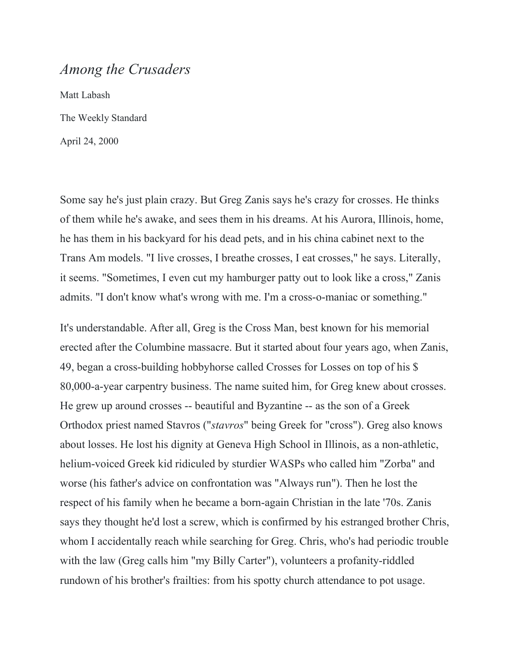## *Among the Crusaders*

Matt Labash The Weekly Standard April 24, 2000

Some say he's just plain crazy. But Greg Zanis says he's crazy for crosses. He thinks of them while he's awake, and sees them in his dreams. At his Aurora, Illinois, home, he has them in his backyard for his dead pets, and in his china cabinet next to the Trans Am models. "I live crosses, I breathe crosses, I eat crosses," he says. Literally, it seems. "Sometimes, I even cut my hamburger patty out to look like a cross," Zanis admits. "I don't know what's wrong with me. I'm a cross-o-maniac or something."

It's understandable. After all, Greg is the Cross Man, best known for his memorial erected after the Columbine massacre. But it started about four years ago, when Zanis, 49, began a cross-building hobbyhorse called Crosses for Losses on top of his \$ 80,000-a-year carpentry business. The name suited him, for Greg knew about crosses. He grew up around crosses -- beautiful and Byzantine -- as the son of a Greek Orthodox priest named Stavros ("*stavros*" being Greek for "cross"). Greg also knows about losses. He lost his dignity at Geneva High School in Illinois, as a non-athletic, helium-voiced Greek kid ridiculed by sturdier WASPs who called him "Zorba" and worse (his father's advice on confrontation was "Always run"). Then he lost the respect of his family when he became a born-again Christian in the late '70s. Zanis says they thought he'd lost a screw, which is confirmed by his estranged brother Chris, whom I accidentally reach while searching for Greg. Chris, who's had periodic trouble with the law (Greg calls him "my Billy Carter"), volunteers a profanity-riddled rundown of his brother's frailties: from his spotty church attendance to pot usage.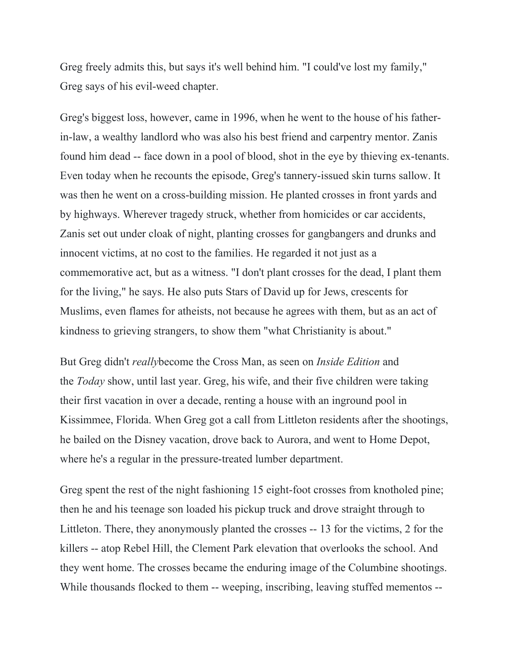Greg freely admits this, but says it's well behind him. "I could've lost my family," Greg says of his evil-weed chapter.

Greg's biggest loss, however, came in 1996, when he went to the house of his fatherin-law, a wealthy landlord who was also his best friend and carpentry mentor. Zanis found him dead -- face down in a pool of blood, shot in the eye by thieving ex-tenants. Even today when he recounts the episode, Greg's tannery-issued skin turns sallow. It was then he went on a cross-building mission. He planted crosses in front yards and by highways. Wherever tragedy struck, whether from homicides or car accidents, Zanis set out under cloak of night, planting crosses for gangbangers and drunks and innocent victims, at no cost to the families. He regarded it not just as a commemorative act, but as a witness. "I don't plant crosses for the dead, I plant them for the living," he says. He also puts Stars of David up for Jews, crescents for Muslims, even flames for atheists, not because he agrees with them, but as an act of kindness to grieving strangers, to show them "what Christianity is about."

But Greg didn't *really*become the Cross Man, as seen on *Inside Edition* and the *Today* show, until last year. Greg, his wife, and their five children were taking their first vacation in over a decade, renting a house with an inground pool in Kissimmee, Florida. When Greg got a call from Littleton residents after the shootings, he bailed on the Disney vacation, drove back to Aurora, and went to Home Depot, where he's a regular in the pressure-treated lumber department.

Greg spent the rest of the night fashioning 15 eight-foot crosses from knotholed pine; then he and his teenage son loaded his pickup truck and drove straight through to Littleton. There, they anonymously planted the crosses -- 13 for the victims, 2 for the killers -- atop Rebel Hill, the Clement Park elevation that overlooks the school. And they went home. The crosses became the enduring image of the Columbine shootings. While thousands flocked to them -- weeping, inscribing, leaving stuffed mementos --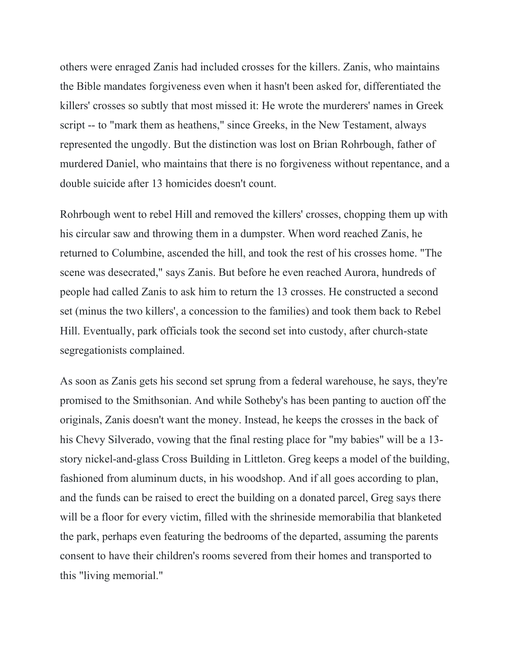others were enraged Zanis had included crosses for the killers. Zanis, who maintains the Bible mandates forgiveness even when it hasn't been asked for, differentiated the killers' crosses so subtly that most missed it: He wrote the murderers' names in Greek script -- to "mark them as heathens," since Greeks, in the New Testament, always represented the ungodly. But the distinction was lost on Brian Rohrbough, father of murdered Daniel, who maintains that there is no forgiveness without repentance, and a double suicide after 13 homicides doesn't count.

Rohrbough went to rebel Hill and removed the killers' crosses, chopping them up with his circular saw and throwing them in a dumpster. When word reached Zanis, he returned to Columbine, ascended the hill, and took the rest of his crosses home. "The scene was desecrated," says Zanis. But before he even reached Aurora, hundreds of people had called Zanis to ask him to return the 13 crosses. He constructed a second set (minus the two killers', a concession to the families) and took them back to Rebel Hill. Eventually, park officials took the second set into custody, after church-state segregationists complained.

As soon as Zanis gets his second set sprung from a federal warehouse, he says, they're promised to the Smithsonian. And while Sotheby's has been panting to auction off the originals, Zanis doesn't want the money. Instead, he keeps the crosses in the back of his Chevy Silverado, vowing that the final resting place for "my babies" will be a 13 story nickel-and-glass Cross Building in Littleton. Greg keeps a model of the building, fashioned from aluminum ducts, in his woodshop. And if all goes according to plan, and the funds can be raised to erect the building on a donated parcel, Greg says there will be a floor for every victim, filled with the shrineside memorabilia that blanketed the park, perhaps even featuring the bedrooms of the departed, assuming the parents consent to have their children's rooms severed from their homes and transported to this "living memorial."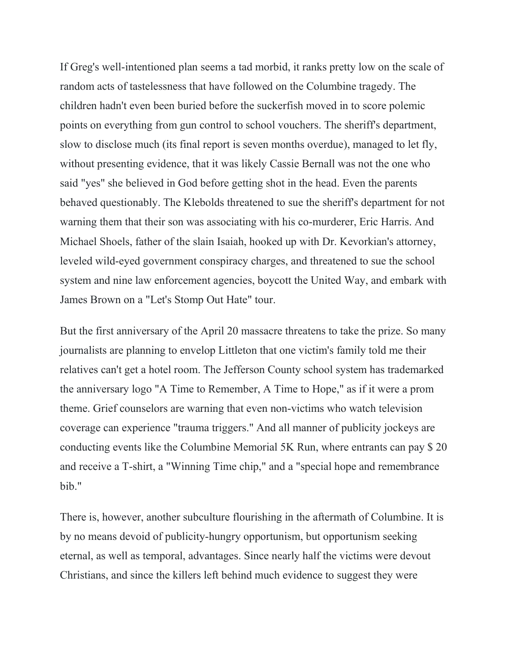If Greg's well-intentioned plan seems a tad morbid, it ranks pretty low on the scale of random acts of tastelessness that have followed on the Columbine tragedy. The children hadn't even been buried before the suckerfish moved in to score polemic points on everything from gun control to school vouchers. The sheriff's department, slow to disclose much (its final report is seven months overdue), managed to let fly, without presenting evidence, that it was likely Cassie Bernall was not the one who said "yes" she believed in God before getting shot in the head. Even the parents behaved questionably. The Klebolds threatened to sue the sheriff's department for not warning them that their son was associating with his co-murderer, Eric Harris. And Michael Shoels, father of the slain Isaiah, hooked up with Dr. Kevorkian's attorney, leveled wild-eyed government conspiracy charges, and threatened to sue the school system and nine law enforcement agencies, boycott the United Way, and embark with James Brown on a "Let's Stomp Out Hate" tour.

But the first anniversary of the April 20 massacre threatens to take the prize. So many journalists are planning to envelop Littleton that one victim's family told me their relatives can't get a hotel room. The Jefferson County school system has trademarked the anniversary logo "A Time to Remember, A Time to Hope," as if it were a prom theme. Grief counselors are warning that even non-victims who watch television coverage can experience "trauma triggers." And all manner of publicity jockeys are conducting events like the Columbine Memorial 5K Run, where entrants can pay \$ 20 and receive a T-shirt, a "Winning Time chip," and a "special hope and remembrance bib."

There is, however, another subculture flourishing in the aftermath of Columbine. It is by no means devoid of publicity-hungry opportunism, but opportunism seeking eternal, as well as temporal, advantages. Since nearly half the victims were devout Christians, and since the killers left behind much evidence to suggest they were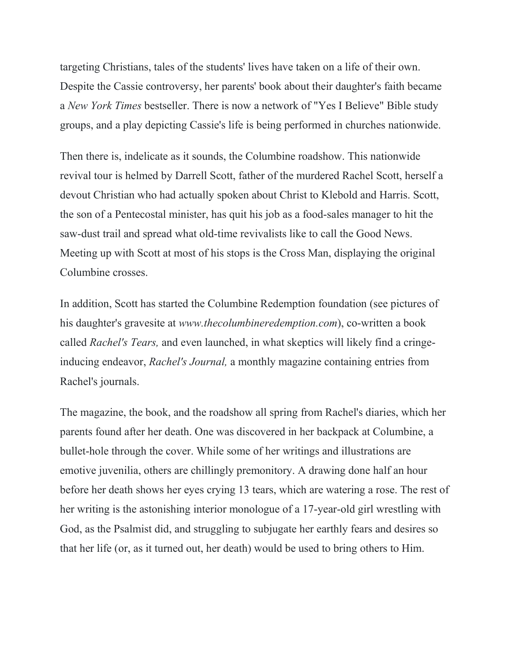targeting Christians, tales of the students' lives have taken on a life of their own. Despite the Cassie controversy, her parents' book about their daughter's faith became a *New York Times* bestseller. There is now a network of "Yes I Believe" Bible study groups, and a play depicting Cassie's life is being performed in churches nationwide.

Then there is, indelicate as it sounds, the Columbine roadshow. This nationwide revival tour is helmed by Darrell Scott, father of the murdered Rachel Scott, herself a devout Christian who had actually spoken about Christ to Klebold and Harris. Scott, the son of a Pentecostal minister, has quit his job as a food-sales manager to hit the saw-dust trail and spread what old-time revivalists like to call the Good News. Meeting up with Scott at most of his stops is the Cross Man, displaying the original Columbine crosses.

In addition, Scott has started the Columbine Redemption foundation (see pictures of his daughter's gravesite at *www.thecolumbineredemption.com*), co-written a book called *Rachel's Tears,* and even launched, in what skeptics will likely find a cringeinducing endeavor, *Rachel's Journal,* a monthly magazine containing entries from Rachel's journals.

The magazine, the book, and the roadshow all spring from Rachel's diaries, which her parents found after her death. One was discovered in her backpack at Columbine, a bullet-hole through the cover. While some of her writings and illustrations are emotive juvenilia, others are chillingly premonitory. A drawing done half an hour before her death shows her eyes crying 13 tears, which are watering a rose. The rest of her writing is the astonishing interior monologue of a 17-year-old girl wrestling with God, as the Psalmist did, and struggling to subjugate her earthly fears and desires so that her life (or, as it turned out, her death) would be used to bring others to Him.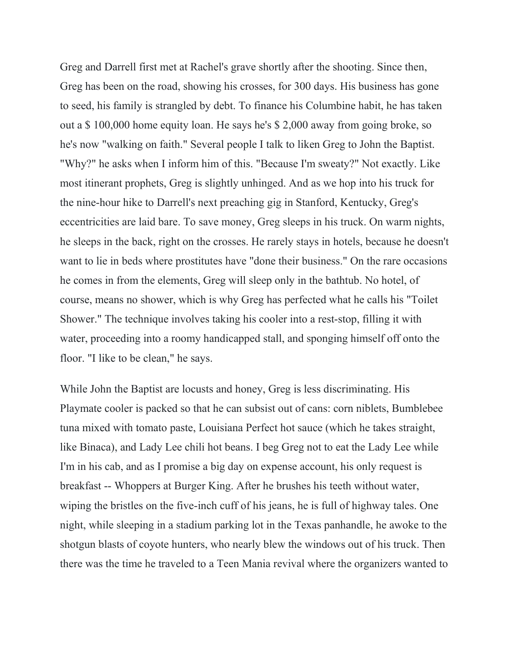Greg and Darrell first met at Rachel's grave shortly after the shooting. Since then, Greg has been on the road, showing his crosses, for 300 days. His business has gone to seed, his family is strangled by debt. To finance his Columbine habit, he has taken out a \$ 100,000 home equity loan. He says he's \$ 2,000 away from going broke, so he's now "walking on faith." Several people I talk to liken Greg to John the Baptist. "Why?" he asks when I inform him of this. "Because I'm sweaty?" Not exactly. Like most itinerant prophets, Greg is slightly unhinged. And as we hop into his truck for the nine-hour hike to Darrell's next preaching gig in Stanford, Kentucky, Greg's eccentricities are laid bare. To save money, Greg sleeps in his truck. On warm nights, he sleeps in the back, right on the crosses. He rarely stays in hotels, because he doesn't want to lie in beds where prostitutes have "done their business." On the rare occasions he comes in from the elements, Greg will sleep only in the bathtub. No hotel, of course, means no shower, which is why Greg has perfected what he calls his "Toilet Shower." The technique involves taking his cooler into a rest-stop, filling it with water, proceeding into a roomy handicapped stall, and sponging himself off onto the floor. "I like to be clean," he says.

While John the Baptist are locusts and honey, Greg is less discriminating. His Playmate cooler is packed so that he can subsist out of cans: corn niblets, Bumblebee tuna mixed with tomato paste, Louisiana Perfect hot sauce (which he takes straight, like Binaca), and Lady Lee chili hot beans. I beg Greg not to eat the Lady Lee while I'm in his cab, and as I promise a big day on expense account, his only request is breakfast -- Whoppers at Burger King. After he brushes his teeth without water, wiping the bristles on the five-inch cuff of his jeans, he is full of highway tales. One night, while sleeping in a stadium parking lot in the Texas panhandle, he awoke to the shotgun blasts of coyote hunters, who nearly blew the windows out of his truck. Then there was the time he traveled to a Teen Mania revival where the organizers wanted to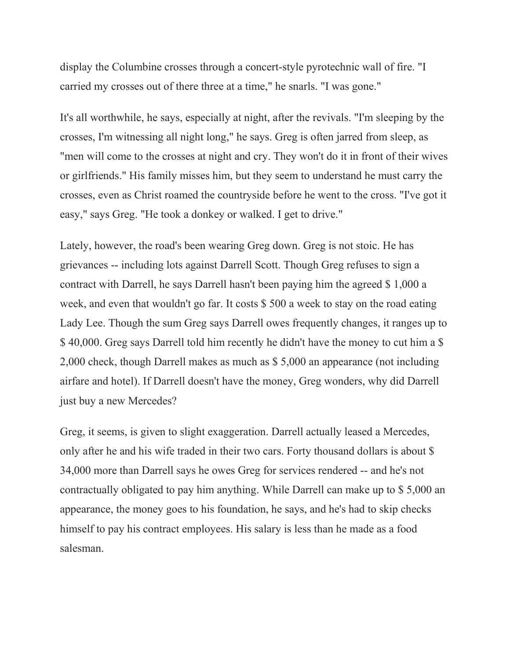display the Columbine crosses through a concert-style pyrotechnic wall of fire. "I carried my crosses out of there three at a time," he snarls. "I was gone."

It's all worthwhile, he says, especially at night, after the revivals. "I'm sleeping by the crosses, I'm witnessing all night long," he says. Greg is often jarred from sleep, as "men will come to the crosses at night and cry. They won't do it in front of their wives or girlfriends." His family misses him, but they seem to understand he must carry the crosses, even as Christ roamed the countryside before he went to the cross. "I've got it easy," says Greg. "He took a donkey or walked. I get to drive."

Lately, however, the road's been wearing Greg down. Greg is not stoic. He has grievances -- including lots against Darrell Scott. Though Greg refuses to sign a contract with Darrell, he says Darrell hasn't been paying him the agreed \$ 1,000 a week, and even that wouldn't go far. It costs \$ 500 a week to stay on the road eating Lady Lee. Though the sum Greg says Darrell owes frequently changes, it ranges up to \$ 40,000. Greg says Darrell told him recently he didn't have the money to cut him a \$ 2,000 check, though Darrell makes as much as \$ 5,000 an appearance (not including airfare and hotel). If Darrell doesn't have the money, Greg wonders, why did Darrell just buy a new Mercedes?

Greg, it seems, is given to slight exaggeration. Darrell actually leased a Mercedes, only after he and his wife traded in their two cars. Forty thousand dollars is about \$ 34,000 more than Darrell says he owes Greg for services rendered -- and he's not contractually obligated to pay him anything. While Darrell can make up to \$ 5,000 an appearance, the money goes to his foundation, he says, and he's had to skip checks himself to pay his contract employees. His salary is less than he made as a food salesman.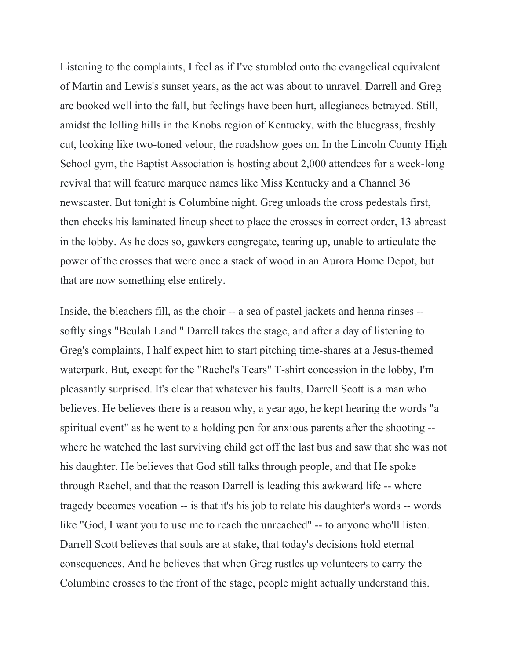Listening to the complaints, I feel as if I've stumbled onto the evangelical equivalent of Martin and Lewis's sunset years, as the act was about to unravel. Darrell and Greg are booked well into the fall, but feelings have been hurt, allegiances betrayed. Still, amidst the lolling hills in the Knobs region of Kentucky, with the bluegrass, freshly cut, looking like two-toned velour, the roadshow goes on. In the Lincoln County High School gym, the Baptist Association is hosting about 2,000 attendees for a week-long revival that will feature marquee names like Miss Kentucky and a Channel 36 newscaster. But tonight is Columbine night. Greg unloads the cross pedestals first, then checks his laminated lineup sheet to place the crosses in correct order, 13 abreast in the lobby. As he does so, gawkers congregate, tearing up, unable to articulate the power of the crosses that were once a stack of wood in an Aurora Home Depot, but that are now something else entirely.

Inside, the bleachers fill, as the choir -- a sea of pastel jackets and henna rinses - softly sings "Beulah Land." Darrell takes the stage, and after a day of listening to Greg's complaints, I half expect him to start pitching time-shares at a Jesus-themed waterpark. But, except for the "Rachel's Tears" T-shirt concession in the lobby, I'm pleasantly surprised. It's clear that whatever his faults, Darrell Scott is a man who believes. He believes there is a reason why, a year ago, he kept hearing the words "a spiritual event" as he went to a holding pen for anxious parents after the shooting - where he watched the last surviving child get off the last bus and saw that she was not his daughter. He believes that God still talks through people, and that He spoke through Rachel, and that the reason Darrell is leading this awkward life -- where tragedy becomes vocation -- is that it's his job to relate his daughter's words -- words like "God, I want you to use me to reach the unreached" -- to anyone who'll listen. Darrell Scott believes that souls are at stake, that today's decisions hold eternal consequences. And he believes that when Greg rustles up volunteers to carry the Columbine crosses to the front of the stage, people might actually understand this.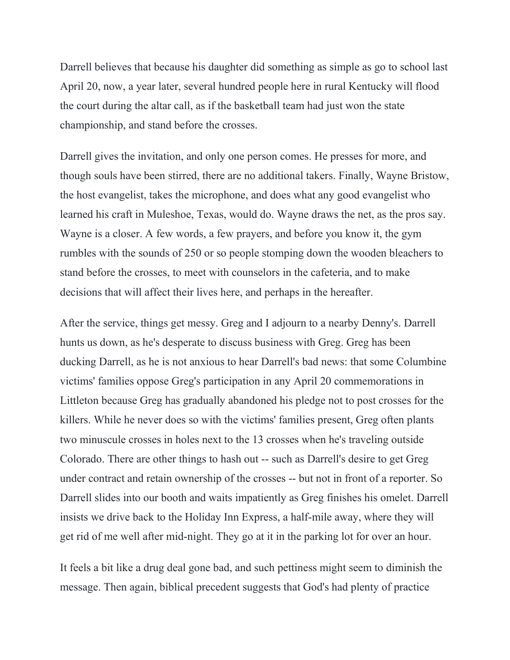Darrell believes that because his daughter did something as simple as go to school last April 20, now, a year later, several hundred people here in rural Kentucky will flood the court during the altar call, as if the basketball team had just won the state championship, and stand before the crosses.

Darrell gives the invitation, and only one person comes. He presses for more, and though souls have been stirred, there are no additional takers. Finally, Wayne Bristow, the host evangelist, takes the microphone, and does what any good evangelist who learned his craft in Muleshoe, Texas, would do. Wayne draws the net, as the pros say. Wayne is a closer. A few words, a few prayers, and before you know it, the gym rumbles with the sounds of 250 or so people stomping down the wooden bleachers to stand before the crosses, to meet with counselors in the cafeteria, and to make decisions that will affect their lives here, and perhaps in the hereafter.

After the service, things get messy. Greg and I adjourn to a nearby Denny's. Darrell hunts us down, as he's desperate to discuss business with Greg. Greg has been ducking Darrell, as he is not anxious to hear Darrell's bad news: that some Columbine victims' families oppose Greg's participation in any April 20 commemorations in Littleton because Greg has gradually abandoned his pledge not to post crosses for the killers. While he never does so with the victims' families present, Greg often plants two minuscule crosses in holes next to the 13 crosses when he's traveling outside Colorado. There are other things to hash out -- such as Darrell's desire to get Greg under contract and retain ownership of the crosses -- but not in front of a reporter. So Darrell slides into our booth and waits impatiently as Greg finishes his omelet. Darrell insists we drive back to the Holiday Inn Express, a half-mile away, where they will get rid of me well after mid-night. They go at it in the parking lot for over an hour.

It feels a bit like a drug deal gone bad, and such pettiness might seem to diminish the message. Then again, biblical precedent suggests that God's had plenty of practice